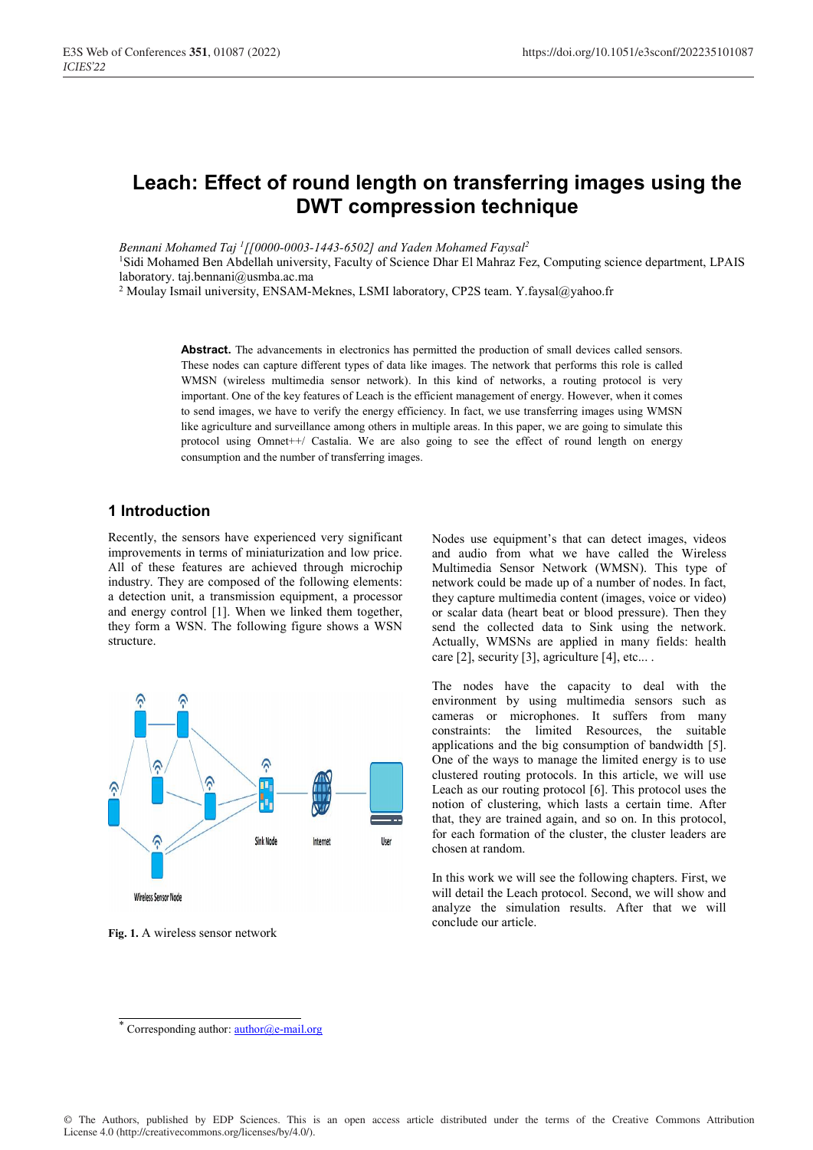# **Leach: Effect of round length on transferring images using the DWT compression technique**

*Bennani Mohamed Taj 1[[0000-0003-1443-6502] and Yaden Mohamed Faysal2* 

1Sidi Mohamed Ben Abdellah university, Faculty of Science Dhar El Mahraz Fez, Computing science department, LPAIS laboratory. taj.bennani@usmba.ac.ma

<sup>2</sup> Moulay Ismail university, ENSAM-Meknes, LSMI laboratory, CP2S team. Y.faysal@yahoo.fr

Abstract. The advancements in electronics has permitted the production of small devices called sensors. These nodes can capture different types of data like images. The network that performs this role is called WMSN (wireless multimedia sensor network). In this kind of networks, a routing protocol is very important. One of the key features of Leach is the efficient management of energy. However, when it comes to send images, we have to verify the energy efficiency. In fact, we use transferring images using WMSN like agriculture and surveillance among others in multiple areas. In this paper, we are going to simulate this protocol using Omnet++/ Castalia. We are also going to see the effect of round length on energy consumption and the number of transferring images.

## **1 Introduction**

Recently, the sensors have experienced very significant improvements in terms of miniaturization and low price. All of these features are achieved through microchip industry. They are composed of the following elements: a detection unit, a transmission equipment, a processor and energy control [1]. When we linked them together, they form a WSN. The following figure shows a WSN structure.



**Fig. 1.** A wireless sensor network

Nodes use equipment's that can detect images, videos and audio from what we have called the Wireless Multimedia Sensor Network (WMSN). This type of network could be made up of a number of nodes. In fact, they capture multimedia content (images, voice or video) or scalar data (heart beat or blood pressure). Then they send the collected data to Sink using the network. Actually, WMSNs are applied in many fields: health care [2], security [3], agriculture [4], etc....

The nodes have the capacity to deal with the environment by using multimedia sensors such as cameras or microphones. It suffers from many constraints: the limited Resources, the suitable applications and the big consumption of bandwidth [5]. One of the ways to manage the limited energy is to use clustered routing protocols. In this article, we will use Leach as our routing protocol [6]. This protocol uses the notion of clustering, which lasts a certain time. After that, they are trained again, and so on. In this protocol, for each formation of the cluster, the cluster leaders are chosen at random.

In this work we will see the following chapters. First, we will detail the Leach protocol. Second, we will show and analyze the simulation results. After that we will conclude our article.

<sup>\*</sup> Corresponding author: **author@e-mail.org**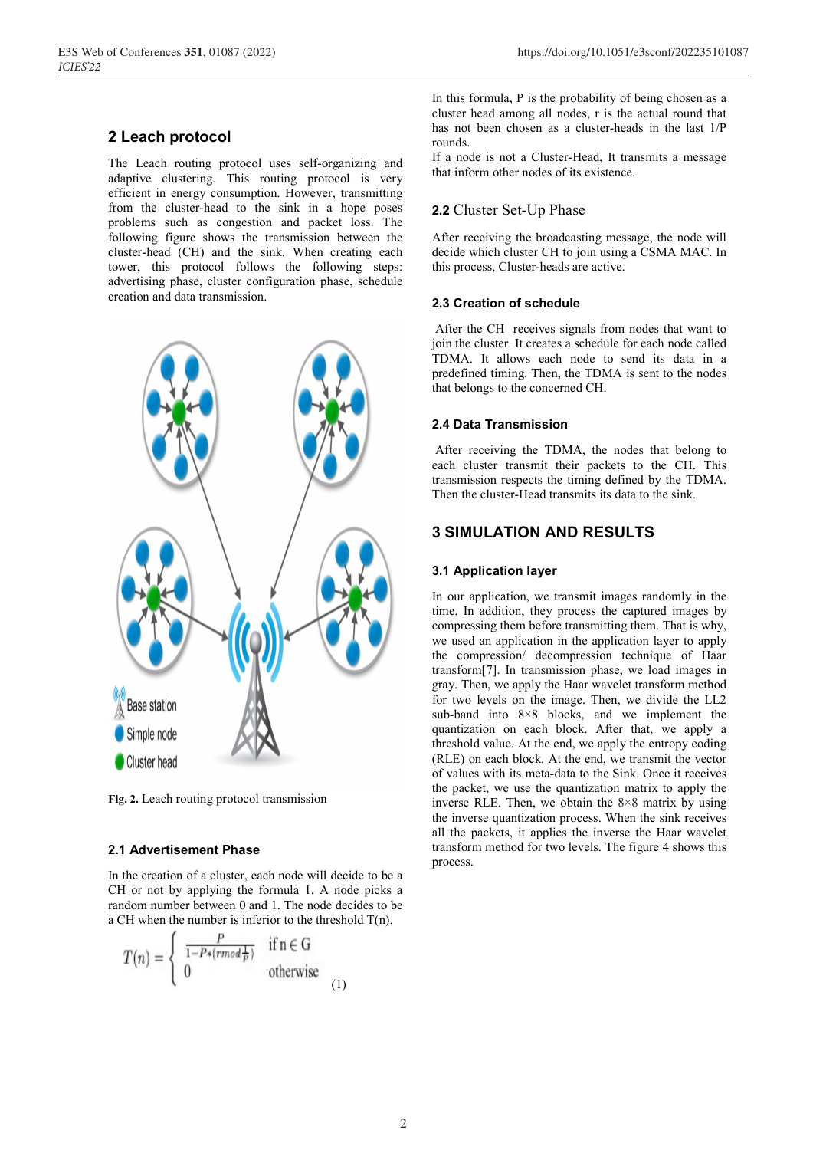## **2 Leach protocol**

The Leach routing protocol uses self-organizing and adaptive clustering. This routing protocol is very efficient in energy consumption. However, transmitting from the cluster-head to the sink in a hope poses problems such as congestion and packet loss. The following figure shows the transmission between the cluster-head (CH) and the sink. When creating each tower, this protocol follows the following steps: advertising phase, cluster configuration phase, schedule creation and data transmission.



**Fig. 2.** Leach routing protocol transmission

#### **2.1 Advertisement Phase**

In the creation of a cluster, each node will decide to be a CH or not by applying the formula 1. A node picks a random number between 0 and 1. The node decides to be a CH when the number is inferior to the threshold T(n).

$$
T(n) = \begin{cases} \frac{P}{1 - P*(\text{rmod} \cdot \overline{P})} & \text{if } n \in G \\ 0 & \text{otherwise} \end{cases}
$$
 (1)

In this formula, P is the probability of being chosen as a cluster head among all nodes, r is the actual round that has not been chosen as a cluster-heads in the last 1/P rounds.

If a node is not a Cluster-Head, It transmits a message that inform other nodes of its existence.

## **2.2** Cluster Set-Up Phase

After receiving the broadcasting message, the node will decide which cluster CH to join using a CSMA MAC. In this process, Cluster-heads are active.

#### **2.3 Creation of schedule**

After the CH receives signals from nodes that want to join the cluster. It creates a schedule for each node called TDMA. It allows each node to send its data in a predefined timing. Then, the TDMA is sent to the nodes that belongs to the concerned CH.

#### **2.4 Data Transmission**

After receiving the TDMA, the nodes that belong to each cluster transmit their packets to the CH. This transmission respects the timing defined by the TDMA. Then the cluster-Head transmits its data to the sink.

## **3 SIMULATION AND RESULTS**

#### **3.1 Application layer**

In our application, we transmit images randomly in the time. In addition, they process the captured images by compressing them before transmitting them. That is why, we used an application in the application layer to apply the compression/ decompression technique of Haar transform[7]. In transmission phase, we load images in gray. Then, we apply the Haar wavelet transform method for two levels on the image. Then, we divide the LL2 sub-band into 8×8 blocks, and we implement the quantization on each block. After that, we apply a threshold value. At the end, we apply the entropy coding (RLE) on each block. At the end, we transmit the vector of values with its meta-data to the Sink. Once it receives the packet, we use the quantization matrix to apply the inverse RLE. Then, we obtain the 8×8 matrix by using the inverse quantization process. When the sink receives all the packets, it applies the inverse the Haar wavelet transform method for two levels. The figure 4 shows this process.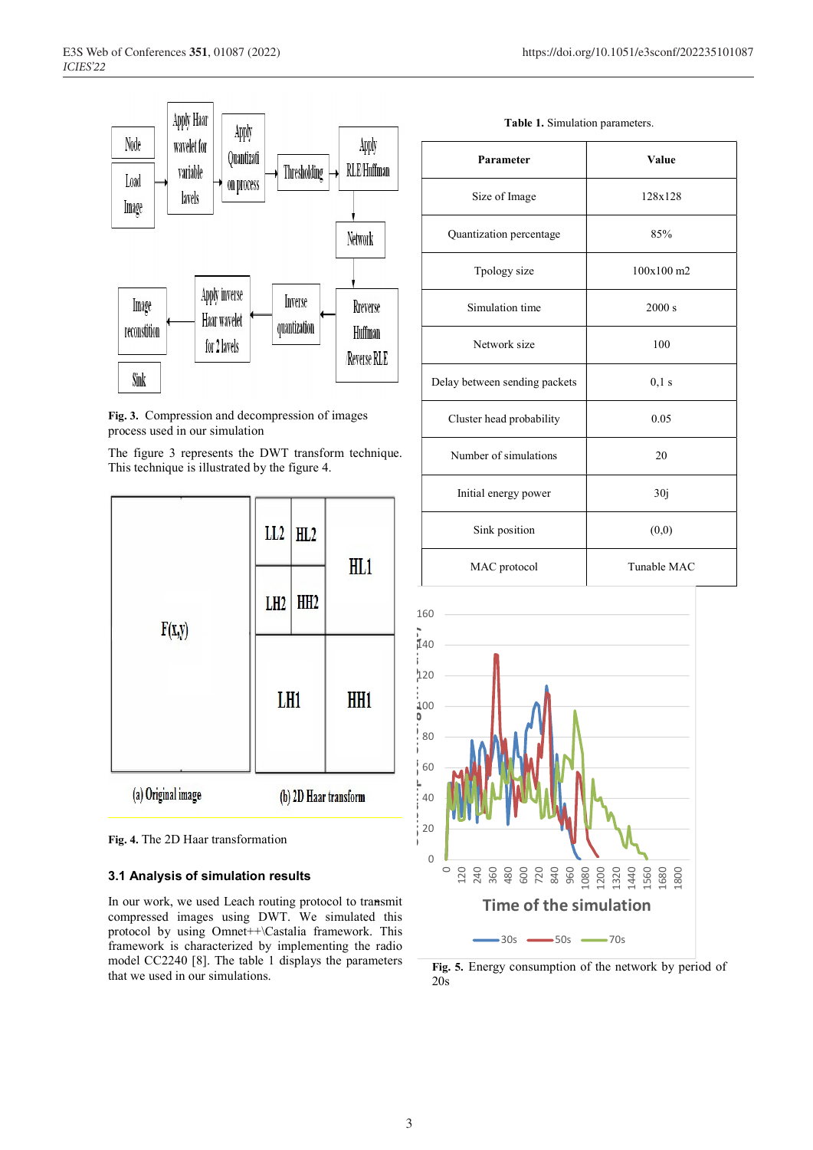



The figure 3 represents the DWT transform technique. This technique is illustrated by the figure 4.





#### **3.1 Analysis of simulation results**

In our work, we used Leach routing protocol to transmit compressed images using DWT. We simulated this protocol by using Omnet++\Castalia framework. This framework is characterized by implementing the radio model CC2240 [8]. The table 1 displays the parameters that we used in our simulations.

| Parameter                     | Value        |
|-------------------------------|--------------|
| Size of Image                 | 128x128      |
| Quantization percentage       | 85%          |
| Tpology size                  | $100x100$ m2 |
| Simulation time               | 2000 s       |
| Network size                  | 100          |
| Delay between sending packets | $0,1$ s      |
| Cluster head probability      | 0.05         |
| Number of simulations         | 20           |
| Initial energy power          | 30j          |
| Sink position                 | (0,0)        |
| MAC protocol                  | Tunable MAC  |



**Fig. 5.** Energy consumption of the network by period of 20s